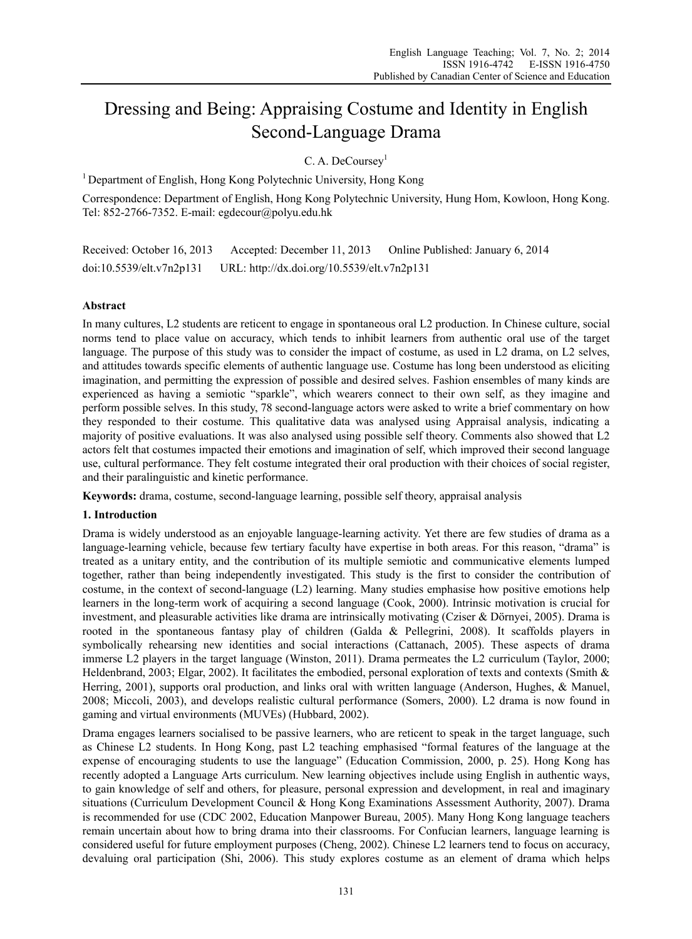# Dressing and Being: Appraising Costume and Identity in English Second-Language Drama

C. A. DeCoursey<sup>1</sup>

<sup>1</sup> Department of English, Hong Kong Polytechnic University, Hong Kong

Correspondence: Department of English, Hong Kong Polytechnic University, Hung Hom, Kowloon, Hong Kong. Tel: 852-2766-7352. E-mail: egdecour@polyu.edu.hk

Received: October 16, 2013 Accepted: December 11, 2013 Online Published: January 6, 2014 doi:10.5539/elt.v7n2p131 URL: http://dx.doi.org/10.5539/elt.v7n2p131

# **Abstract**

In many cultures, L2 students are reticent to engage in spontaneous oral L2 production. In Chinese culture, social norms tend to place value on accuracy, which tends to inhibit learners from authentic oral use of the target language. The purpose of this study was to consider the impact of costume, as used in L2 drama, on L2 selves, and attitudes towards specific elements of authentic language use. Costume has long been understood as eliciting imagination, and permitting the expression of possible and desired selves. Fashion ensembles of many kinds are experienced as having a semiotic "sparkle", which wearers connect to their own self, as they imagine and perform possible selves. In this study, 78 second-language actors were asked to write a brief commentary on how they responded to their costume. This qualitative data was analysed using Appraisal analysis, indicating a majority of positive evaluations. It was also analysed using possible self theory. Comments also showed that L2 actors felt that costumes impacted their emotions and imagination of self, which improved their second language use, cultural performance. They felt costume integrated their oral production with their choices of social register, and their paralinguistic and kinetic performance.

**Keywords:** drama, costume, second-language learning, possible self theory, appraisal analysis

# **1. Introduction**

Drama is widely understood as an enjoyable language-learning activity. Yet there are few studies of drama as a language-learning vehicle, because few tertiary faculty have expertise in both areas. For this reason, "drama" is treated as a unitary entity, and the contribution of its multiple semiotic and communicative elements lumped together, rather than being independently investigated. This study is the first to consider the contribution of costume, in the context of second-language (L2) learning. Many studies emphasise how positive emotions help learners in the long-term work of acquiring a second language (Cook, 2000). Intrinsic motivation is crucial for investment, and pleasurable activities like drama are intrinsically motivating (Cziser & Dörnyei, 2005). Drama is rooted in the spontaneous fantasy play of children (Galda & Pellegrini, 2008). It scaffolds players in symbolically rehearsing new identities and social interactions (Cattanach, 2005). These aspects of drama immerse L2 players in the target language (Winston, 2011). Drama permeates the L2 curriculum (Taylor, 2000; Heldenbrand, 2003; Elgar, 2002). It facilitates the embodied, personal exploration of texts and contexts (Smith & Herring, 2001), supports oral production, and links oral with written language (Anderson, Hughes, & Manuel, 2008; Miccoli, 2003), and develops realistic cultural performance (Somers, 2000). L2 drama is now found in gaming and virtual environments (MUVEs) (Hubbard, 2002).

Drama engages learners socialised to be passive learners, who are reticent to speak in the target language, such as Chinese L2 students. In Hong Kong, past L2 teaching emphasised "formal features of the language at the expense of encouraging students to use the language" (Education Commission, 2000, p. 25). Hong Kong has recently adopted a Language Arts curriculum. New learning objectives include using English in authentic ways, to gain knowledge of self and others, for pleasure, personal expression and development, in real and imaginary situations (Curriculum Development Council & Hong Kong Examinations Assessment Authority, 2007). Drama is recommended for use (CDC 2002, Education Manpower Bureau, 2005). Many Hong Kong language teachers remain uncertain about how to bring drama into their classrooms. For Confucian learners, language learning is considered useful for future employment purposes (Cheng, 2002). Chinese L2 learners tend to focus on accuracy, devaluing oral participation (Shi, 2006). This study explores costume as an element of drama which helps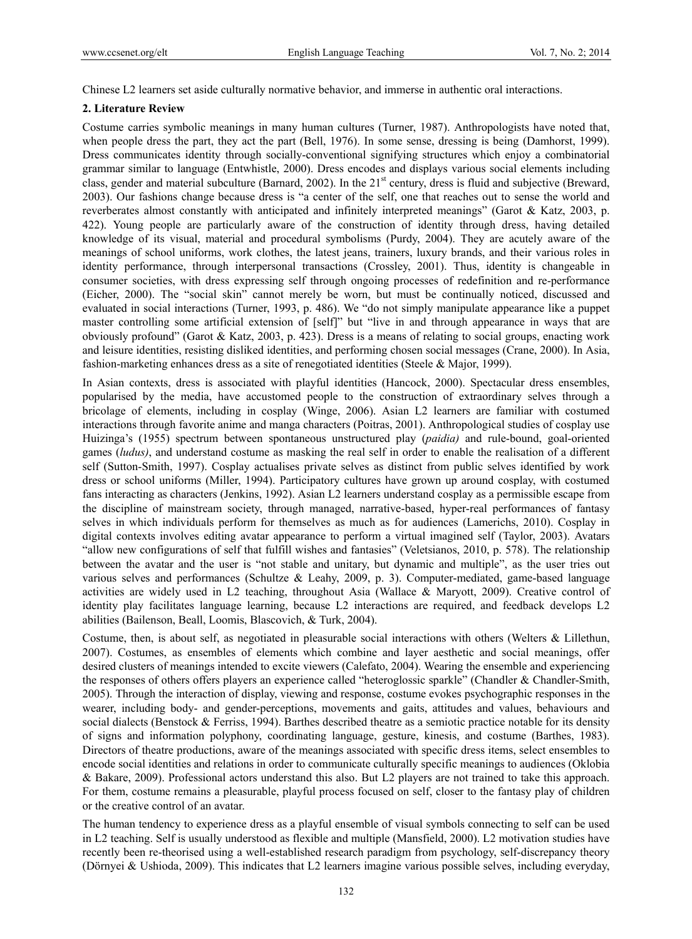Chinese L2 learners set aside culturally normative behavior, and immerse in authentic oral interactions.

## **2. Literature Review**

Costume carries symbolic meanings in many human cultures (Turner, 1987). Anthropologists have noted that, when people dress the part, they act the part (Bell, 1976). In some sense, dressing is being (Damhorst, 1999). Dress communicates identity through socially-conventional signifying structures which enjoy a combinatorial grammar similar to language (Entwhistle, 2000). Dress encodes and displays various social elements including class, gender and material subculture (Barnard, 2002). In the  $21<sup>st</sup>$  century, dress is fluid and subjective (Breward, 2003). Our fashions change because dress is "a center of the self, one that reaches out to sense the world and reverberates almost constantly with anticipated and infinitely interpreted meanings" (Garot & Katz, 2003, p. 422). Young people are particularly aware of the construction of identity through dress, having detailed knowledge of its visual, material and procedural symbolisms (Purdy, 2004). They are acutely aware of the meanings of school uniforms, work clothes, the latest jeans, trainers, luxury brands, and their various roles in identity performance, through interpersonal transactions (Crossley, 2001). Thus, identity is changeable in consumer societies, with dress expressing self through ongoing processes of redefinition and re-performance (Eicher, 2000). The "social skin" cannot merely be worn, but must be continually noticed, discussed and evaluated in social interactions (Turner, 1993, p. 486). We "do not simply manipulate appearance like a puppet master controlling some artificial extension of [self]" but "live in and through appearance in ways that are obviously profound" (Garot & Katz, 2003, p. 423). Dress is a means of relating to social groups, enacting work and leisure identities, resisting disliked identities, and performing chosen social messages (Crane, 2000). In Asia, fashion-marketing enhances dress as a site of renegotiated identities (Steele & Major, 1999).

In Asian contexts, dress is associated with playful identities (Hancock, 2000). Spectacular dress ensembles, popularised by the media, have accustomed people to the construction of extraordinary selves through a bricolage of elements, including in cosplay (Winge, 2006). Asian L2 learners are familiar with costumed interactions through favorite anime and manga characters (Poitras, 2001). Anthropological studies of cosplay use Huizinga's (1955) spectrum between spontaneous unstructured play (*paidia)* and rule-bound, goal-oriented games (*ludus)*, and understand costume as masking the real self in order to enable the realisation of a different self (Sutton-Smith, 1997). Cosplay actualises private selves as distinct from public selves identified by work dress or school uniforms (Miller, 1994). Participatory cultures have grown up around cosplay, with costumed fans interacting as characters (Jenkins, 1992). Asian L2 learners understand cosplay as a permissible escape from the discipline of mainstream society, through managed, narrative-based, hyper-real performances of fantasy selves in which individuals perform for themselves as much as for audiences (Lamerichs, 2010). Cosplay in digital contexts involves editing avatar appearance to perform a virtual imagined self (Taylor, 2003). Avatars "allow new configurations of self that fulfill wishes and fantasies" (Veletsianos, 2010, p. 578). The relationship between the avatar and the user is "not stable and unitary, but dynamic and multiple", as the user tries out various selves and performances (Schultze & Leahy, 2009, p. 3). Computer-mediated, game-based language activities are widely used in L2 teaching, throughout Asia (Wallace & Maryott, 2009). Creative control of identity play facilitates language learning, because L2 interactions are required, and feedback develops L2 abilities (Bailenson, Beall, Loomis, Blascovich, & Turk, 2004).

Costume, then, is about self, as negotiated in pleasurable social interactions with others (Welters & Lillethun, 2007). Costumes, as ensembles of elements which combine and layer aesthetic and social meanings, offer desired clusters of meanings intended to excite viewers (Calefato, 2004). Wearing the ensemble and experiencing the responses of others offers players an experience called "heteroglossic sparkle" (Chandler & Chandler-Smith, 2005). Through the interaction of display, viewing and response, costume evokes psychographic responses in the wearer, including body- and gender-perceptions, movements and gaits, attitudes and values, behaviours and social dialects (Benstock & Ferriss, 1994). Barthes described theatre as a semiotic practice notable for its density of signs and information polyphony, coordinating language, gesture, kinesis, and costume (Barthes, 1983). Directors of theatre productions, aware of the meanings associated with specific dress items, select ensembles to encode social identities and relations in order to communicate culturally specific meanings to audiences (Oklobia & Bakare, 2009). Professional actors understand this also. But L2 players are not trained to take this approach. For them, costume remains a pleasurable, playful process focused on self, closer to the fantasy play of children or the creative control of an avatar.

The human tendency to experience dress as a playful ensemble of visual symbols connecting to self can be used in L2 teaching. Self is usually understood as flexible and multiple (Mansfield, 2000). L2 motivation studies have recently been re-theorised using a well-established research paradigm from psychology, self-discrepancy theory (Dörnyei & Ushioda, 2009). This indicates that L2 learners imagine various possible selves, including everyday,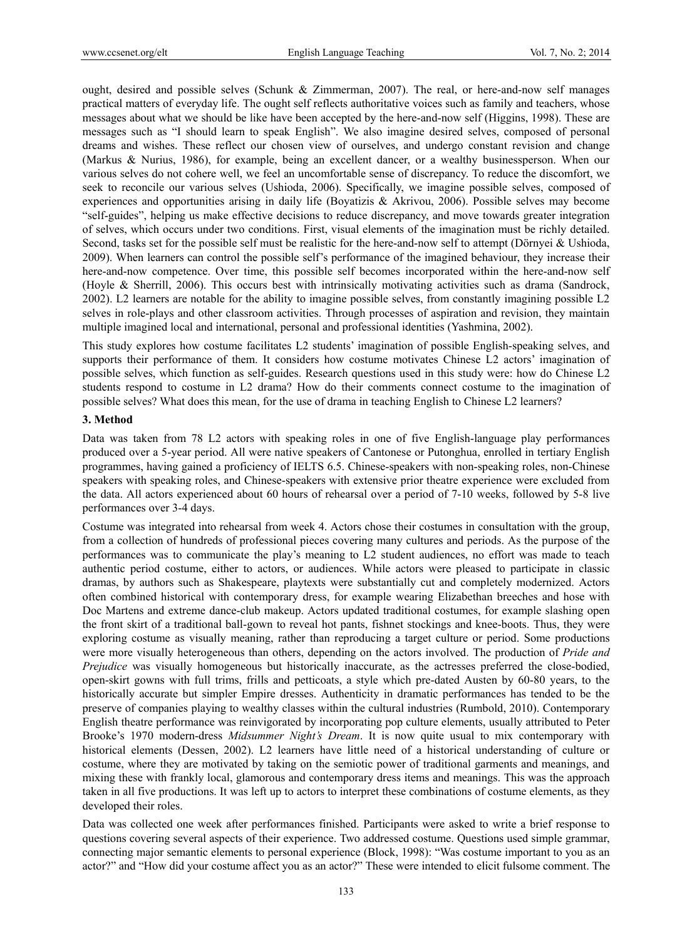ought, desired and possible selves (Schunk & Zimmerman, 2007). The real, or here-and-now self manages practical matters of everyday life. The ought self reflects authoritative voices such as family and teachers, whose messages about what we should be like have been accepted by the here-and-now self (Higgins, 1998). These are messages such as "I should learn to speak English". We also imagine desired selves, composed of personal dreams and wishes. These reflect our chosen view of ourselves, and undergo constant revision and change (Markus & Nurius, 1986), for example, being an excellent dancer, or a wealthy businessperson. When our various selves do not cohere well, we feel an uncomfortable sense of discrepancy. To reduce the discomfort, we seek to reconcile our various selves (Ushioda, 2006). Specifically, we imagine possible selves, composed of experiences and opportunities arising in daily life (Boyatizis & Akrivou, 2006). Possible selves may become "self-guides", helping us make effective decisions to reduce discrepancy, and move towards greater integration of selves, which occurs under two conditions. First, visual elements of the imagination must be richly detailed. Second, tasks set for the possible self must be realistic for the here-and-now self to attempt (Dörnyei & Ushioda, 2009). When learners can control the possible self's performance of the imagined behaviour, they increase their here-and-now competence. Over time, this possible self becomes incorporated within the here-and-now self (Hoyle & Sherrill, 2006). This occurs best with intrinsically motivating activities such as drama (Sandrock, 2002). L2 learners are notable for the ability to imagine possible selves, from constantly imagining possible L2 selves in role-plays and other classroom activities. Through processes of aspiration and revision, they maintain multiple imagined local and international, personal and professional identities (Yashmina, 2002).

This study explores how costume facilitates L2 students' imagination of possible English-speaking selves, and supports their performance of them. It considers how costume motivates Chinese L2 actors' imagination of possible selves, which function as self-guides. Research questions used in this study were: how do Chinese L2 students respond to costume in L2 drama? How do their comments connect costume to the imagination of possible selves? What does this mean, for the use of drama in teaching English to Chinese L2 learners?

#### **3. Method**

Data was taken from 78 L2 actors with speaking roles in one of five English-language play performances produced over a 5-year period. All were native speakers of Cantonese or Putonghua, enrolled in tertiary English programmes, having gained a proficiency of IELTS 6.5. Chinese-speakers with non-speaking roles, non-Chinese speakers with speaking roles, and Chinese-speakers with extensive prior theatre experience were excluded from the data. All actors experienced about 60 hours of rehearsal over a period of 7-10 weeks, followed by 5-8 live performances over 3-4 days.

Costume was integrated into rehearsal from week 4. Actors chose their costumes in consultation with the group, from a collection of hundreds of professional pieces covering many cultures and periods. As the purpose of the performances was to communicate the play's meaning to L2 student audiences, no effort was made to teach authentic period costume, either to actors, or audiences. While actors were pleased to participate in classic dramas, by authors such as Shakespeare, playtexts were substantially cut and completely modernized. Actors often combined historical with contemporary dress, for example wearing Elizabethan breeches and hose with Doc Martens and extreme dance-club makeup. Actors updated traditional costumes, for example slashing open the front skirt of a traditional ball-gown to reveal hot pants, fishnet stockings and knee-boots. Thus, they were exploring costume as visually meaning, rather than reproducing a target culture or period. Some productions were more visually heterogeneous than others, depending on the actors involved. The production of *Pride and Prejudice* was visually homogeneous but historically inaccurate, as the actresses preferred the close-bodied, open-skirt gowns with full trims, frills and petticoats, a style which pre-dated Austen by 60-80 years, to the historically accurate but simpler Empire dresses. Authenticity in dramatic performances has tended to be the preserve of companies playing to wealthy classes within the cultural industries (Rumbold, 2010). Contemporary English theatre performance was reinvigorated by incorporating pop culture elements, usually attributed to Peter Brooke's 1970 modern-dress *Midsummer Night's Dream*. It is now quite usual to mix contemporary with historical elements (Dessen, 2002). L2 learners have little need of a historical understanding of culture or costume, where they are motivated by taking on the semiotic power of traditional garments and meanings, and mixing these with frankly local, glamorous and contemporary dress items and meanings. This was the approach taken in all five productions. It was left up to actors to interpret these combinations of costume elements, as they developed their roles.

Data was collected one week after performances finished. Participants were asked to write a brief response to questions covering several aspects of their experience. Two addressed costume. Questions used simple grammar, connecting major semantic elements to personal experience (Block, 1998): "Was costume important to you as an actor?" and "How did your costume affect you as an actor?" These were intended to elicit fulsome comment. The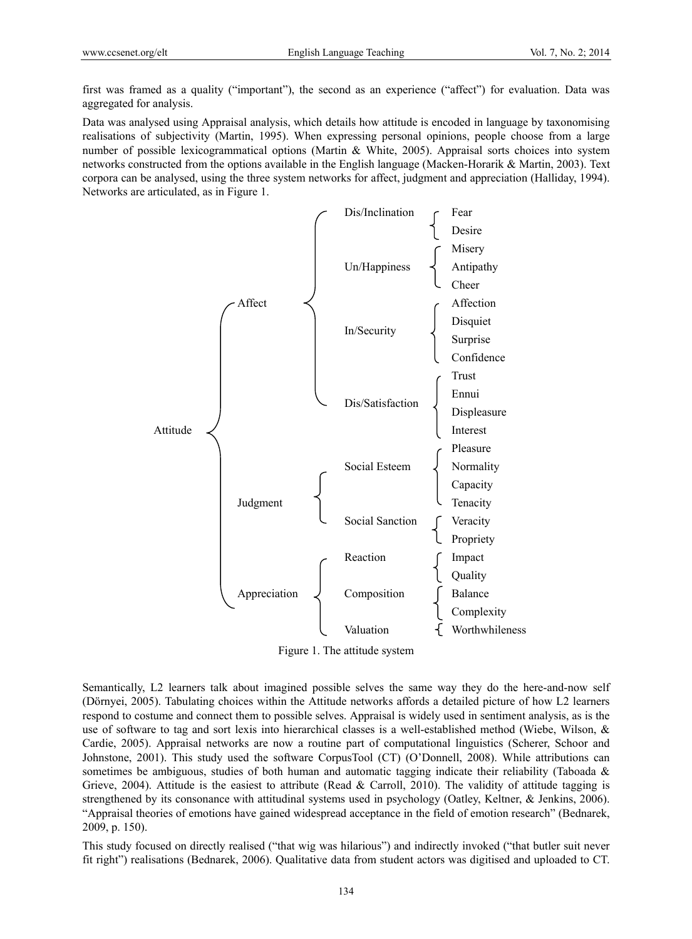first was framed as a quality ("important"), the second as an experience ("affect") for evaluation. Data was aggregated for analysis.

Data was analysed using Appraisal analysis, which details how attitude is encoded in language by taxonomising realisations of subjectivity (Martin, 1995). When expressing personal opinions, people choose from a large number of possible lexicogrammatical options (Martin & White, 2005). Appraisal sorts choices into system networks constructed from the options available in the English language (Macken-Horarik & Martin, 2003). Text corpora can be analysed, using the three system networks for affect, judgment and appreciation (Halliday, 1994). Networks are articulated, as in Figure 1.



Figure 1. The attitude system

Semantically, L2 learners talk about imagined possible selves the same way they do the here-and-now self (Dörnyei, 2005). Tabulating choices within the Attitude networks affords a detailed picture of how L2 learners respond to costume and connect them to possible selves. Appraisal is widely used in sentiment analysis, as is the use of software to tag and sort lexis into hierarchical classes is a well-established method (Wiebe, Wilson, & Cardie, 2005). Appraisal networks are now a routine part of computational linguistics (Scherer, Schoor and Johnstone, 2001). This study used the software CorpusTool (CT) (O'Donnell, 2008). While attributions can sometimes be ambiguous, studies of both human and automatic tagging indicate their reliability (Taboada  $\&$ Grieve, 2004). Attitude is the easiest to attribute (Read & Carroll, 2010). The validity of attitude tagging is strengthened by its consonance with attitudinal systems used in psychology (Oatley, Keltner, & Jenkins, 2006). "Appraisal theories of emotions have gained widespread acceptance in the field of emotion research" (Bednarek, 2009, p. 150).

This study focused on directly realised ("that wig was hilarious") and indirectly invoked ("that butler suit never fit right") realisations (Bednarek, 2006). Qualitative data from student actors was digitised and uploaded to CT.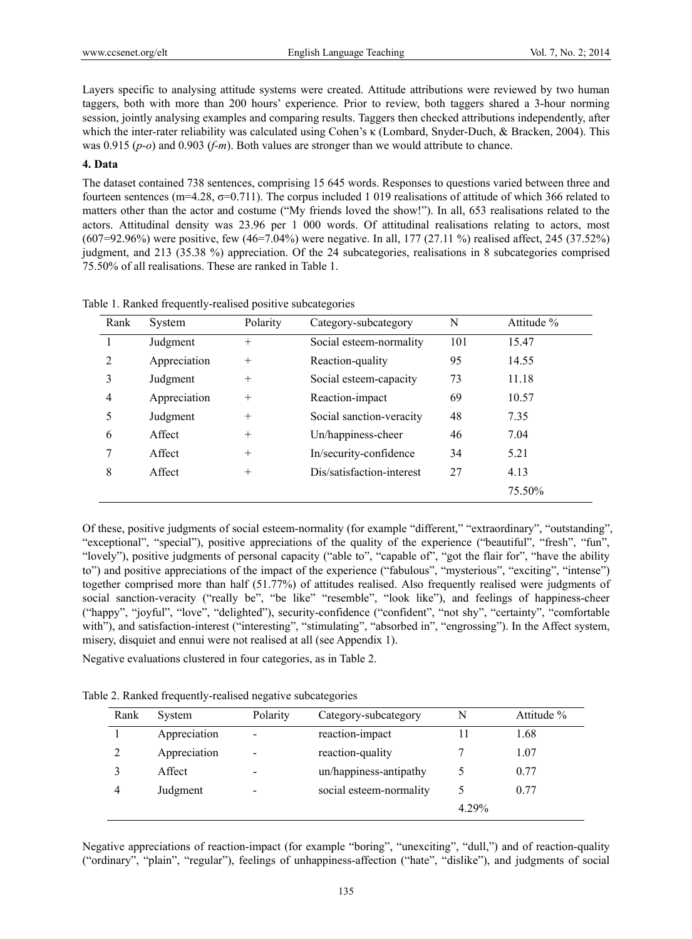Layers specific to analysing attitude systems were created. Attitude attributions were reviewed by two human taggers, both with more than 200 hours' experience. Prior to review, both taggers shared a 3-hour norming session, jointly analysing examples and comparing results. Taggers then checked attributions independently, after which the inter-rater reliability was calculated using Cohen's κ (Lombard, Snyder-Duch, & Bracken, 2004). This was 0.915 (*p-o*) and 0.903 (*f-m*). Both values are stronger than we would attribute to chance.

## **4. Data**

The dataset contained 738 sentences, comprising 15 645 words. Responses to questions varied between three and fourteen sentences (m=4.28,  $\sigma$ =0.711). The corpus included 1 019 realisations of attitude of which 366 related to matters other than the actor and costume ("My friends loved the show!"). In all, 653 realisations related to the actors. Attitudinal density was 23.96 per 1 000 words. Of attitudinal realisations relating to actors, most (607=92.96%) were positive, few (46=7.04%) were negative. In all, 177 (27.11 %) realised affect, 245 (37.52%) judgment, and 213 (35.38 %) appreciation. Of the 24 subcategories, realisations in 8 subcategories comprised 75.50% of all realisations. These are ranked in Table 1.

| Rank | System       | Polarity | Category-subcategory      | N   | Attitude % |
|------|--------------|----------|---------------------------|-----|------------|
|      | Judgment     | $^{+}$   | Social esteem-normality   | 101 | 15.47      |
| 2    | Appreciation | $^{+}$   | Reaction-quality          | 95  | 14.55      |
| 3    | Judgment     | $^{+}$   | Social esteem-capacity    | 73  | 11.18      |
| 4    | Appreciation | $^{+}$   | Reaction-impact           | 69  | 10.57      |
| 5    | Judgment     | $^{+}$   | Social sanction-veracity  | 48  | 7.35       |
| 6    | Affect       | $^{+}$   | Un/happiness-cheer        | 46  | 7.04       |
|      | Affect       | $^{+}$   | In/security-confidence    | 34  | 5.21       |
| 8    | Affect       | $^{+}$   | Dis/satisfaction-interest | 27  | 4.13       |
|      |              |          |                           |     | 75.50%     |

Table 1. Ranked frequently-realised positive subcategories

Of these, positive judgments of social esteem-normality (for example "different," "extraordinary", "outstanding", "exceptional", "special"), positive appreciations of the quality of the experience ("beautiful", "fresh", "fun", "lovely"), positive judgments of personal capacity ("able to", "capable of", "got the flair for", "have the ability to") and positive appreciations of the impact of the experience ("fabulous", "mysterious", "exciting", "intense") together comprised more than half (51.77%) of attitudes realised. Also frequently realised were judgments of social sanction-veracity ("really be", "be like" "resemble", "look like"), and feelings of happiness-cheer ("happy", "joyful", "love", "delighted"), security-confidence ("confident", "not shy", "certainty", "comfortable with"), and satisfaction-interest ("interesting", "stimulating", "absorbed in", "engrossing"). In the Affect system, misery, disquiet and ennui were not realised at all (see Appendix 1).

Negative evaluations clustered in four categories, as in Table 2.

Table 2. Ranked frequently-realised negative subcategories

| Rank | System       | Polarity                     | Category-subcategory    | N     | Attitude % |
|------|--------------|------------------------------|-------------------------|-------|------------|
|      | Appreciation | $\overline{\phantom{0}}$     | reaction-impact         |       | 1.68       |
| 2    | Appreciation | $\qquad \qquad \blacksquare$ | reaction-quality        |       | 1.07       |
|      | Affect       | $\qquad \qquad \blacksquare$ | un/happiness-antipathy  |       | 0.77       |
| 4    | Judgment     | $\overline{\phantom{a}}$     | social esteem-normality |       | 0.77       |
|      |              |                              |                         | 4.29% |            |

Negative appreciations of reaction-impact (for example "boring", "unexciting", "dull,") and of reaction-quality ("ordinary", "plain", "regular"), feelings of unhappiness-affection ("hate", "dislike"), and judgments of social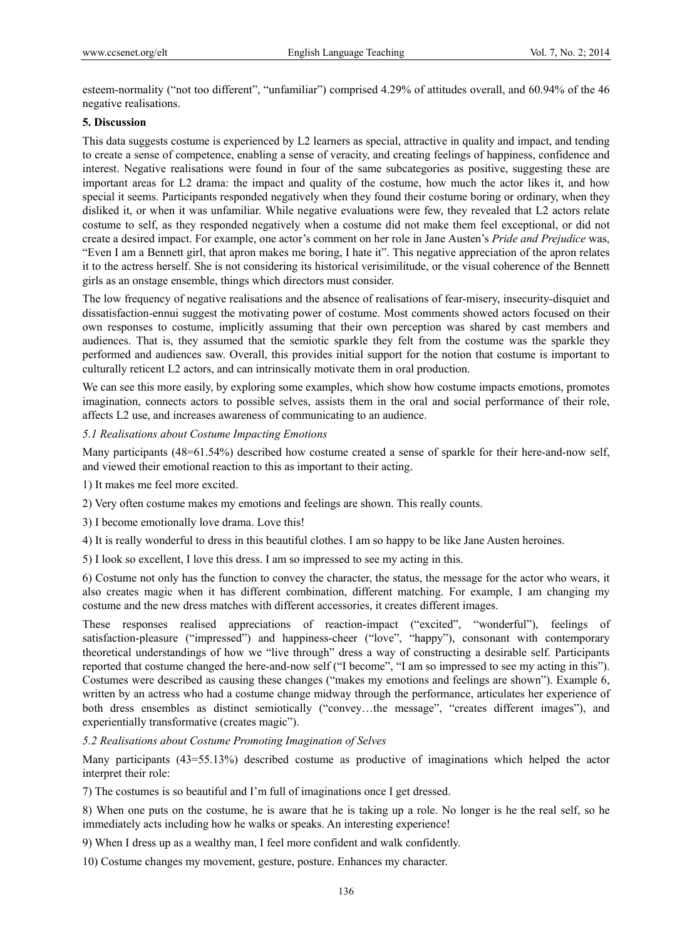esteem-normality ("not too different", "unfamiliar") comprised 4.29% of attitudes overall, and 60.94% of the 46 negative realisations.

## **5. Discussion**

This data suggests costume is experienced by L2 learners as special, attractive in quality and impact, and tending to create a sense of competence, enabling a sense of veracity, and creating feelings of happiness, confidence and interest. Negative realisations were found in four of the same subcategories as positive, suggesting these are important areas for L2 drama: the impact and quality of the costume, how much the actor likes it, and how special it seems. Participants responded negatively when they found their costume boring or ordinary, when they disliked it, or when it was unfamiliar. While negative evaluations were few, they revealed that L2 actors relate costume to self, as they responded negatively when a costume did not make them feel exceptional, or did not create a desired impact. For example, one actor's comment on her role in Jane Austen's *Pride and Prejudice* was, "Even I am a Bennett girl, that apron makes me boring, I hate it". This negative appreciation of the apron relates it to the actress herself. She is not considering its historical verisimilitude, or the visual coherence of the Bennett girls as an onstage ensemble, things which directors must consider.

The low frequency of negative realisations and the absence of realisations of fear-misery, insecurity-disquiet and dissatisfaction-ennui suggest the motivating power of costume. Most comments showed actors focused on their own responses to costume, implicitly assuming that their own perception was shared by cast members and audiences. That is, they assumed that the semiotic sparkle they felt from the costume was the sparkle they performed and audiences saw. Overall, this provides initial support for the notion that costume is important to culturally reticent L2 actors, and can intrinsically motivate them in oral production.

We can see this more easily, by exploring some examples, which show how costume impacts emotions, promotes imagination, connects actors to possible selves, assists them in the oral and social performance of their role, affects L2 use, and increases awareness of communicating to an audience.

## *5.1 Realisations about Costume Impacting Emotions*

Many participants (48=61.54%) described how costume created a sense of sparkle for their here-and-now self, and viewed their emotional reaction to this as important to their acting.

1) It makes me feel more excited.

- 2) Very often costume makes my emotions and feelings are shown. This really counts.
- 3) I become emotionally love drama. Love this!
- 4) It is really wonderful to dress in this beautiful clothes. I am so happy to be like Jane Austen heroines.
- 5) I look so excellent, I love this dress. I am so impressed to see my acting in this.

6) Costume not only has the function to convey the character, the status, the message for the actor who wears, it also creates magic when it has different combination, different matching. For example, I am changing my costume and the new dress matches with different accessories, it creates different images.

These responses realised appreciations of reaction-impact ("excited", "wonderful"), feelings of satisfaction-pleasure ("impressed") and happiness-cheer ("love", "happy"), consonant with contemporary theoretical understandings of how we "live through" dress a way of constructing a desirable self. Participants reported that costume changed the here-and-now self ("I become", "I am so impressed to see my acting in this"). Costumes were described as causing these changes ("makes my emotions and feelings are shown"). Example 6, written by an actress who had a costume change midway through the performance, articulates her experience of both dress ensembles as distinct semiotically ("convey…the message", "creates different images"), and experientially transformative (creates magic").

#### *5.2 Realisations about Costume Promoting Imagination of Selves*

Many participants (43=55.13%) described costume as productive of imaginations which helped the actor interpret their role:

7) The costumes is so beautiful and I'm full of imaginations once I get dressed.

8) When one puts on the costume, he is aware that he is taking up a role. No longer is he the real self, so he immediately acts including how he walks or speaks. An interesting experience!

9) When I dress up as a wealthy man, I feel more confident and walk confidently.

10) Costume changes my movement, gesture, posture. Enhances my character.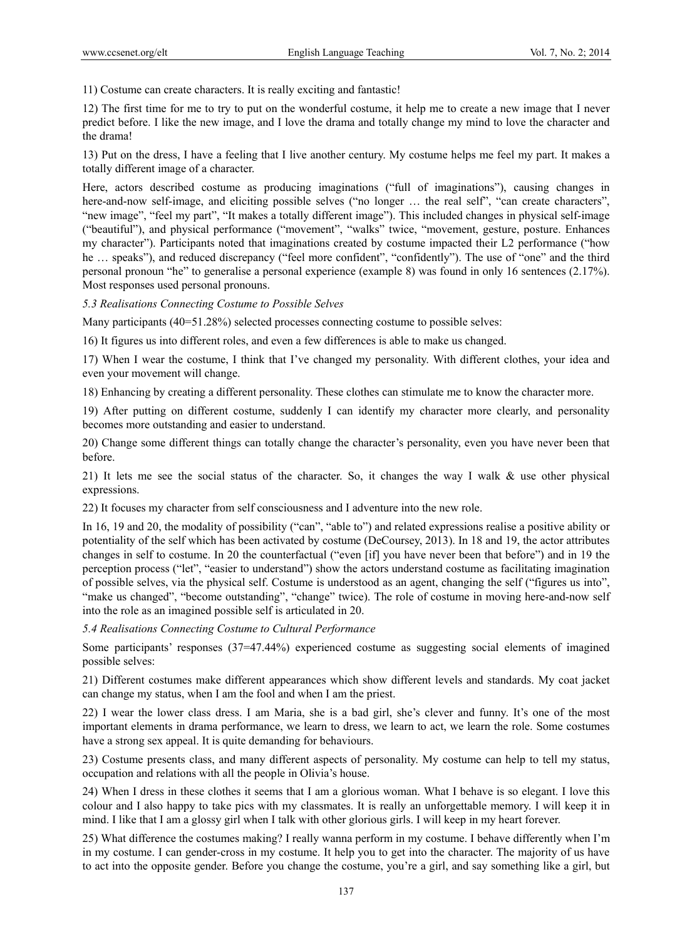11) Costume can create characters. It is really exciting and fantastic!

12) The first time for me to try to put on the wonderful costume, it help me to create a new image that I never predict before. I like the new image, and I love the drama and totally change my mind to love the character and the drama!

13) Put on the dress, I have a feeling that I live another century. My costume helps me feel my part. It makes a totally different image of a character.

Here, actors described costume as producing imaginations ("full of imaginations"), causing changes in here-and-now self-image, and eliciting possible selves ("no longer ... the real self", "can create characters", "new image", "feel my part", "It makes a totally different image"). This included changes in physical self-image ("beautiful"), and physical performance ("movement", "walks" twice, "movement, gesture, posture. Enhances my character"). Participants noted that imaginations created by costume impacted their L2 performance ("how he ... speaks"), and reduced discrepancy ("feel more confident", "confidently"). The use of "one" and the third personal pronoun "he" to generalise a personal experience (example 8) was found in only 16 sentences (2.17%). Most responses used personal pronouns.

*5.3 Realisations Connecting Costume to Possible Selves* 

Many participants (40=51.28%) selected processes connecting costume to possible selves:

16) It figures us into different roles, and even a few differences is able to make us changed.

17) When I wear the costume, I think that I've changed my personality. With different clothes, your idea and even your movement will change.

18) Enhancing by creating a different personality. These clothes can stimulate me to know the character more.

19) After putting on different costume, suddenly I can identify my character more clearly, and personality becomes more outstanding and easier to understand.

20) Change some different things can totally change the character's personality, even you have never been that before.

21) It lets me see the social status of the character. So, it changes the way I walk & use other physical expressions.

22) It focuses my character from self consciousness and I adventure into the new role.

In 16, 19 and 20, the modality of possibility ("can", "able to") and related expressions realise a positive ability or potentiality of the self which has been activated by costume (DeCoursey, 2013). In 18 and 19, the actor attributes changes in self to costume. In 20 the counterfactual ("even [if] you have never been that before") and in 19 the perception process ("let", "easier to understand") show the actors understand costume as facilitating imagination of possible selves, via the physical self. Costume is understood as an agent, changing the self ("figures us into", "make us changed", "become outstanding", "change" twice). The role of costume in moving here-and-now self into the role as an imagined possible self is articulated in 20.

## *5.4 Realisations Connecting Costume to Cultural Performance*

Some participants' responses (37=47.44%) experienced costume as suggesting social elements of imagined possible selves:

21) Different costumes make different appearances which show different levels and standards. My coat jacket can change my status, when I am the fool and when I am the priest.

22) I wear the lower class dress. I am Maria, she is a bad girl, she's clever and funny. It's one of the most important elements in drama performance, we learn to dress, we learn to act, we learn the role. Some costumes have a strong sex appeal. It is quite demanding for behaviours.

23) Costume presents class, and many different aspects of personality. My costume can help to tell my status, occupation and relations with all the people in Olivia's house.

24) When I dress in these clothes it seems that I am a glorious woman. What I behave is so elegant. I love this colour and I also happy to take pics with my classmates. It is really an unforgettable memory. I will keep it in mind. I like that I am a glossy girl when I talk with other glorious girls. I will keep in my heart forever.

25) What difference the costumes making? I really wanna perform in my costume. I behave differently when I'm in my costume. I can gender-cross in my costume. It help you to get into the character. The majority of us have to act into the opposite gender. Before you change the costume, you're a girl, and say something like a girl, but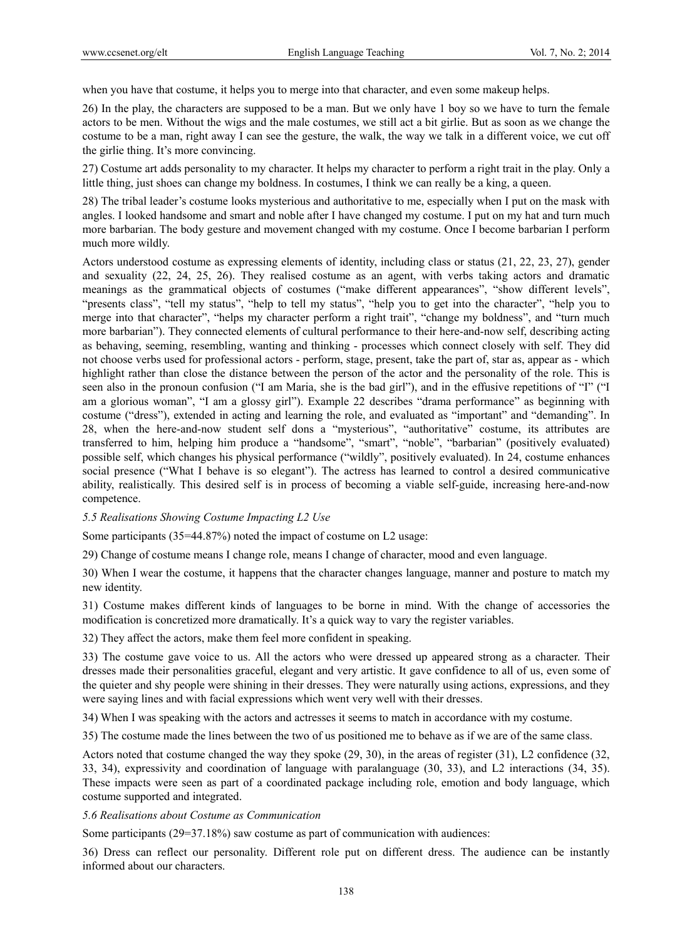when you have that costume, it helps you to merge into that character, and even some makeup helps.

26) In the play, the characters are supposed to be a man. But we only have 1 boy so we have to turn the female actors to be men. Without the wigs and the male costumes, we still act a bit girlie. But as soon as we change the costume to be a man, right away I can see the gesture, the walk, the way we talk in a different voice, we cut off the girlie thing. It's more convincing.

27) Costume art adds personality to my character. It helps my character to perform a right trait in the play. Only a little thing, just shoes can change my boldness. In costumes, I think we can really be a king, a queen.

28) The tribal leader's costume looks mysterious and authoritative to me, especially when I put on the mask with angles. I looked handsome and smart and noble after I have changed my costume. I put on my hat and turn much more barbarian. The body gesture and movement changed with my costume. Once I become barbarian I perform much more wildly.

Actors understood costume as expressing elements of identity, including class or status (21, 22, 23, 27), gender and sexuality (22, 24, 25, 26). They realised costume as an agent, with verbs taking actors and dramatic meanings as the grammatical objects of costumes ("make different appearances", "show different levels", "presents class", "tell my status", "help to tell my status", "help you to get into the character", "help you to merge into that character", "helps my character perform a right trait", "change my boldness", and "turn much more barbarian"). They connected elements of cultural performance to their here-and-now self, describing acting as behaving, seeming, resembling, wanting and thinking - processes which connect closely with self. They did not choose verbs used for professional actors - perform, stage, present, take the part of, star as, appear as - which highlight rather than close the distance between the person of the actor and the personality of the role. This is seen also in the pronoun confusion ("I am Maria, she is the bad girl"), and in the effusive repetitions of "I" ("I am a glorious woman", "I am a glossy girl"). Example 22 describes "drama performance" as beginning with costume ("dress"), extended in acting and learning the role, and evaluated as "important" and "demanding". In 28, when the here-and-now student self dons a "mysterious", "authoritative" costume, its attributes are transferred to him, helping him produce a "handsome", "smart", "noble", "barbarian" (positively evaluated) possible self, which changes his physical performance ("wildly", positively evaluated). In 24, costume enhances social presence ("What I behave is so elegant"). The actress has learned to control a desired communicative ability, realistically. This desired self is in process of becoming a viable self-guide, increasing here-and-now competence.

## *5.5 Realisations Showing Costume Impacting L2 Use*

Some participants (35=44.87%) noted the impact of costume on L2 usage:

29) Change of costume means I change role, means I change of character, mood and even language.

30) When I wear the costume, it happens that the character changes language, manner and posture to match my new identity.

31) Costume makes different kinds of languages to be borne in mind. With the change of accessories the modification is concretized more dramatically. It's a quick way to vary the register variables.

32) They affect the actors, make them feel more confident in speaking.

33) The costume gave voice to us. All the actors who were dressed up appeared strong as a character. Their dresses made their personalities graceful, elegant and very artistic. It gave confidence to all of us, even some of the quieter and shy people were shining in their dresses. They were naturally using actions, expressions, and they were saying lines and with facial expressions which went very well with their dresses.

34) When I was speaking with the actors and actresses it seems to match in accordance with my costume.

35) The costume made the lines between the two of us positioned me to behave as if we are of the same class.

Actors noted that costume changed the way they spoke (29, 30), in the areas of register (31), L2 confidence (32, 33, 34), expressivity and coordination of language with paralanguage (30, 33), and L2 interactions (34, 35). These impacts were seen as part of a coordinated package including role, emotion and body language, which costume supported and integrated.

*5.6 Realisations about Costume as Communication* 

Some participants (29=37.18%) saw costume as part of communication with audiences:

36) Dress can reflect our personality. Different role put on different dress. The audience can be instantly informed about our characters.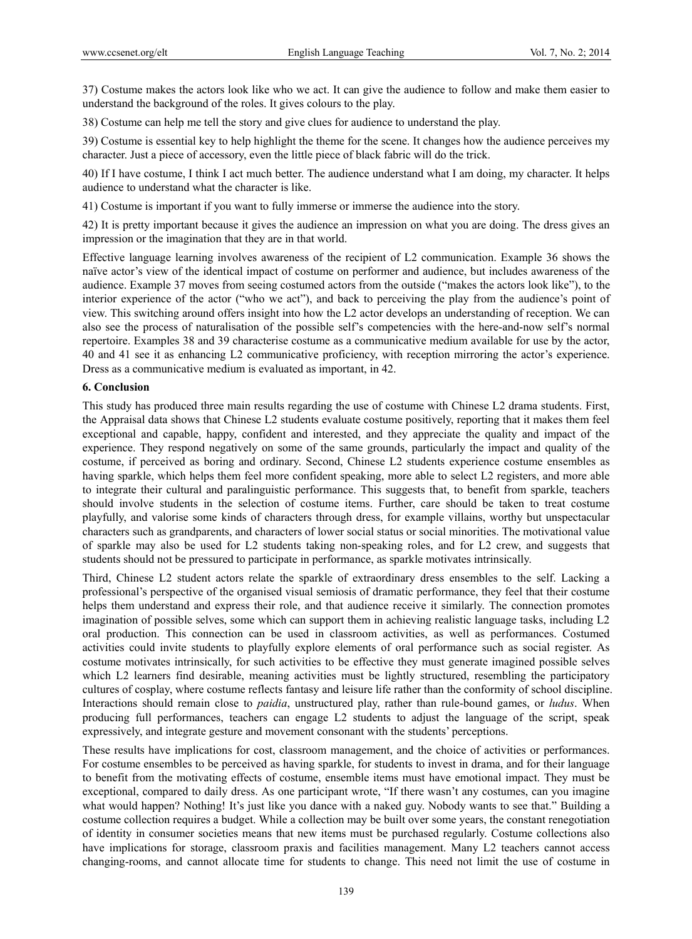37) Costume makes the actors look like who we act. It can give the audience to follow and make them easier to understand the background of the roles. It gives colours to the play.

38) Costume can help me tell the story and give clues for audience to understand the play.

39) Costume is essential key to help highlight the theme for the scene. It changes how the audience perceives my character. Just a piece of accessory, even the little piece of black fabric will do the trick.

40) If I have costume, I think I act much better. The audience understand what I am doing, my character. It helps audience to understand what the character is like.

41) Costume is important if you want to fully immerse or immerse the audience into the story.

42) It is pretty important because it gives the audience an impression on what you are doing. The dress gives an impression or the imagination that they are in that world.

Effective language learning involves awareness of the recipient of L2 communication. Example 36 shows the naïve actor's view of the identical impact of costume on performer and audience, but includes awareness of the audience. Example 37 moves from seeing costumed actors from the outside ("makes the actors look like"), to the interior experience of the actor ("who we act"), and back to perceiving the play from the audience's point of view. This switching around offers insight into how the L2 actor develops an understanding of reception. We can also see the process of naturalisation of the possible self's competencies with the here-and-now self's normal repertoire. Examples 38 and 39 characterise costume as a communicative medium available for use by the actor, 40 and 41 see it as enhancing L2 communicative proficiency, with reception mirroring the actor's experience. Dress as a communicative medium is evaluated as important, in 42.

#### **6. Conclusion**

This study has produced three main results regarding the use of costume with Chinese L2 drama students. First, the Appraisal data shows that Chinese L2 students evaluate costume positively, reporting that it makes them feel exceptional and capable, happy, confident and interested, and they appreciate the quality and impact of the experience. They respond negatively on some of the same grounds, particularly the impact and quality of the costume, if perceived as boring and ordinary. Second, Chinese L2 students experience costume ensembles as having sparkle, which helps them feel more confident speaking, more able to select L2 registers, and more able to integrate their cultural and paralinguistic performance. This suggests that, to benefit from sparkle, teachers should involve students in the selection of costume items. Further, care should be taken to treat costume playfully, and valorise some kinds of characters through dress, for example villains, worthy but unspectacular characters such as grandparents, and characters of lower social status or social minorities. The motivational value of sparkle may also be used for L2 students taking non-speaking roles, and for L2 crew, and suggests that students should not be pressured to participate in performance, as sparkle motivates intrinsically.

Third, Chinese L2 student actors relate the sparkle of extraordinary dress ensembles to the self. Lacking a professional's perspective of the organised visual semiosis of dramatic performance, they feel that their costume helps them understand and express their role, and that audience receive it similarly. The connection promotes imagination of possible selves, some which can support them in achieving realistic language tasks, including L2 oral production. This connection can be used in classroom activities, as well as performances. Costumed activities could invite students to playfully explore elements of oral performance such as social register. As costume motivates intrinsically, for such activities to be effective they must generate imagined possible selves which L2 learners find desirable, meaning activities must be lightly structured, resembling the participatory cultures of cosplay, where costume reflects fantasy and leisure life rather than the conformity of school discipline. Interactions should remain close to *paidia*, unstructured play, rather than rule-bound games, or *ludus*. When producing full performances, teachers can engage L2 students to adjust the language of the script, speak expressively, and integrate gesture and movement consonant with the students' perceptions.

These results have implications for cost, classroom management, and the choice of activities or performances. For costume ensembles to be perceived as having sparkle, for students to invest in drama, and for their language to benefit from the motivating effects of costume, ensemble items must have emotional impact. They must be exceptional, compared to daily dress. As one participant wrote, "If there wasn't any costumes, can you imagine what would happen? Nothing! It's just like you dance with a naked guy. Nobody wants to see that." Building a costume collection requires a budget. While a collection may be built over some years, the constant renegotiation of identity in consumer societies means that new items must be purchased regularly. Costume collections also have implications for storage, classroom praxis and facilities management. Many L2 teachers cannot access changing-rooms, and cannot allocate time for students to change. This need not limit the use of costume in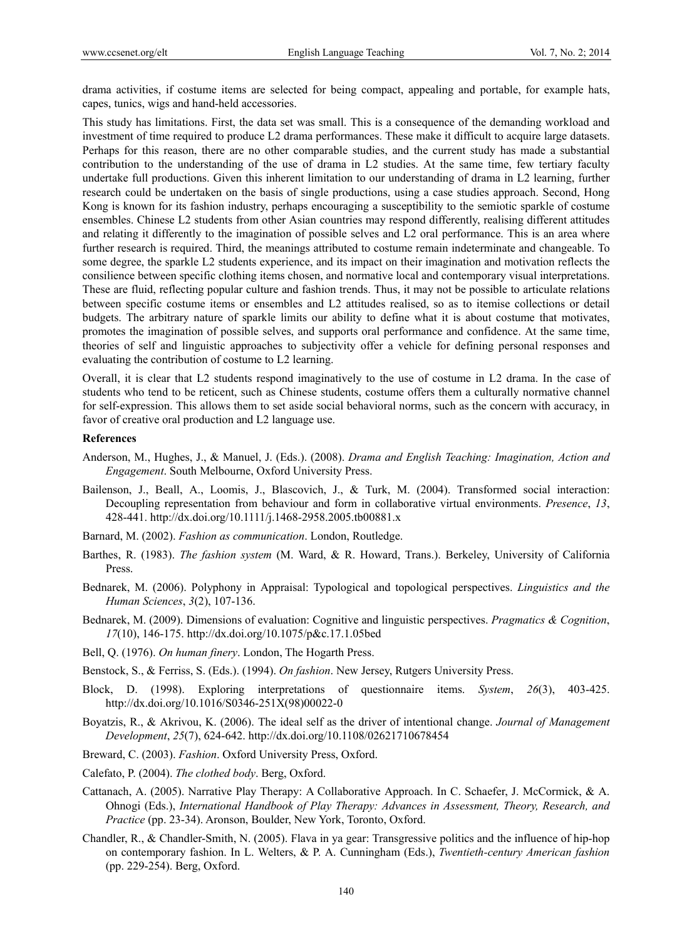drama activities, if costume items are selected for being compact, appealing and portable, for example hats, capes, tunics, wigs and hand-held accessories.

This study has limitations. First, the data set was small. This is a consequence of the demanding workload and investment of time required to produce L2 drama performances. These make it difficult to acquire large datasets. Perhaps for this reason, there are no other comparable studies, and the current study has made a substantial contribution to the understanding of the use of drama in L2 studies. At the same time, few tertiary faculty undertake full productions. Given this inherent limitation to our understanding of drama in L2 learning, further research could be undertaken on the basis of single productions, using a case studies approach. Second, Hong Kong is known for its fashion industry, perhaps encouraging a susceptibility to the semiotic sparkle of costume ensembles. Chinese L2 students from other Asian countries may respond differently, realising different attitudes and relating it differently to the imagination of possible selves and L2 oral performance. This is an area where further research is required. Third, the meanings attributed to costume remain indeterminate and changeable. To some degree, the sparkle L2 students experience, and its impact on their imagination and motivation reflects the consilience between specific clothing items chosen, and normative local and contemporary visual interpretations. These are fluid, reflecting popular culture and fashion trends. Thus, it may not be possible to articulate relations between specific costume items or ensembles and L2 attitudes realised, so as to itemise collections or detail budgets. The arbitrary nature of sparkle limits our ability to define what it is about costume that motivates, promotes the imagination of possible selves, and supports oral performance and confidence. At the same time, theories of self and linguistic approaches to subjectivity offer a vehicle for defining personal responses and evaluating the contribution of costume to L2 learning.

Overall, it is clear that L2 students respond imaginatively to the use of costume in L2 drama. In the case of students who tend to be reticent, such as Chinese students, costume offers them a culturally normative channel for self-expression. This allows them to set aside social behavioral norms, such as the concern with accuracy, in favor of creative oral production and L2 language use.

#### **References**

- Anderson, M., Hughes, J., & Manuel, J. (Eds.). (2008). *Drama and English Teaching: Imagination, Action and Engagement*. South Melbourne, Oxford University Press.
- Bailenson, J., Beall, A., Loomis, J., Blascovich, J., & Turk, M. (2004). Transformed social interaction: Decoupling representation from behaviour and form in collaborative virtual environments. *Presence*, *13*, 428-441. http://dx.doi.org/10.1111/j.1468-2958.2005.tb00881.x
- Barnard, M. (2002). *Fashion as communication*. London, Routledge.
- Barthes, R. (1983). *The fashion system* (M. Ward, & R. Howard, Trans.). Berkeley, University of California Press.
- Bednarek, M. (2006). Polyphony in Appraisal: Typological and topological perspectives. *Linguistics and the Human Sciences*, *3*(2), 107-136.
- Bednarek, M. (2009). Dimensions of evaluation: Cognitive and linguistic perspectives. *Pragmatics & Cognition*, *17*(10), 146-175. http://dx.doi.org/10.1075/p&c.17.1.05bed
- Bell, Q. (1976). *On human finery*. London, The Hogarth Press.
- Benstock, S., & Ferriss, S. (Eds.). (1994). *On fashion*. New Jersey, Rutgers University Press.
- Block, D. (1998). Exploring interpretations of questionnaire items. *System*, *26*(3), 403-425. http://dx.doi.org/10.1016/S0346-251X(98)00022-0
- Boyatzis, R., & Akrivou, K. (2006). The ideal self as the driver of intentional change. *Journal of Management Development*, *25*(7), 624-642. http://dx.doi.org/10.1108/02621710678454
- Breward, C. (2003). *Fashion*. Oxford University Press, Oxford.
- Calefato, P. (2004). *The clothed body*. Berg, Oxford.
- Cattanach, A. (2005). Narrative Play Therapy: A Collaborative Approach. In C. Schaefer, J. McCormick, & A. Ohnogi (Eds.), *International Handbook of Play Therapy: Advances in Assessment, Theory, Research, and Practice* (pp. 23-34). Aronson, Boulder, New York, Toronto, Oxford.
- Chandler, R., & Chandler-Smith, N. (2005). Flava in ya gear: Transgressive politics and the influence of hip-hop on contemporary fashion. In L. Welters, & P. A. Cunningham (Eds.), *Twentieth-century American fashion*  (pp. 229-254). Berg, Oxford.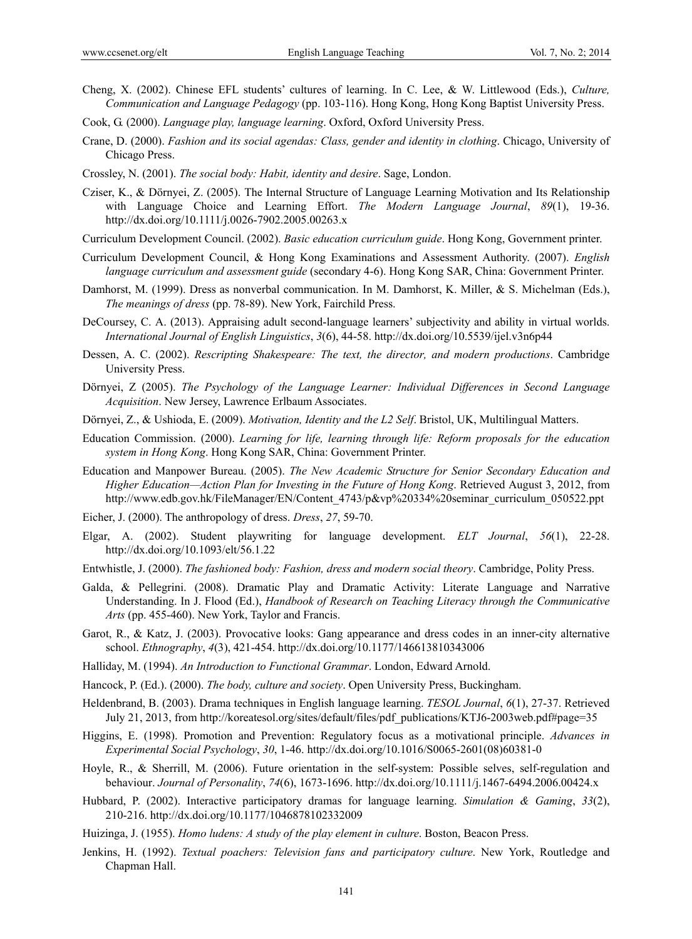- Cheng, X. (2002). Chinese EFL students' cultures of learning. In C. Lee, & W. Littlewood (Eds.), *Culture, Communication and Language Pedagogy* (pp. 103-116). Hong Kong, Hong Kong Baptist University Press.
- Cook, G. (2000). *Language play, language learning*. Oxford, Oxford University Press.
- Crane, D. (2000). *Fashion and its social agendas: Class, gender and identity in clothing*. Chicago, University of Chicago Press.
- Crossley, N. (2001). *The social body: Habit, identity and desire*. Sage, London.
- Cziser, K., & Dörnyei, Z. (2005). The Internal Structure of Language Learning Motivation and Its Relationship with Language Choice and Learning Effort. *The Modern Language Journal*, *89*(1), 19-36. http://dx.doi.org/10.1111/j.0026-7902.2005.00263.x
- Curriculum Development Council. (2002). *Basic education curriculum guide*. Hong Kong, Government printer.
- Curriculum Development Council, & Hong Kong Examinations and Assessment Authority. (2007). *English language curriculum and assessment guide* (secondary 4-6). Hong Kong SAR, China: Government Printer.
- Damhorst, M. (1999). Dress as nonverbal communication. In M. Damhorst, K. Miller, & S. Michelman (Eds.), *The meanings of dress* (pp. 78-89). New York, Fairchild Press.
- DeCoursey, C. A. (2013). Appraising adult second-language learners' subjectivity and ability in virtual worlds. *International Journal of English Linguistics*, *3*(6), 44-58. http://dx.doi.org/10.5539/ijel.v3n6p44
- Dessen, A. C. (2002). *Rescripting Shakespeare: The text, the director, and modern productions*. Cambridge University Press.
- Dörnyei, Z (2005). *The Psychology of the Language Learner: Individual Differences in Second Language Acquisition*. New Jersey, Lawrence Erlbaum Associates.
- Dörnyei, Z., & Ushioda, E. (2009). *Motivation, Identity and the L2 Self*. Bristol, UK, Multilingual Matters.
- Education Commission. (2000). *Learning for life, learning through life: Reform proposals for the education system in Hong Kong*. Hong Kong SAR, China: Government Printer.
- Education and Manpower Bureau. (2005). *The New Academic Structure for Senior Secondary Education and Higher Education—Action Plan for Investing in the Future of Hong Kong*. Retrieved August 3, 2012, from http://www.edb.gov.hk/FileManager/EN/Content\_4743/p&vp%20334%20seminar\_curriculum\_050522.ppt
- Eicher, J. (2000). The anthropology of dress. *Dress*, *27*, 59-70.
- Elgar, A. (2002). Student playwriting for language development. *ELT Journal*, *56*(1), 22-28. http://dx.doi.org/10.1093/elt/56.1.22
- Entwhistle, J. (2000). *The fashioned body: Fashion, dress and modern social theory*. Cambridge, Polity Press.
- Galda, & Pellegrini. (2008). Dramatic Play and Dramatic Activity: Literate Language and Narrative Understanding. In J. Flood (Ed.), *Handbook of Research on Teaching Literacy through the Communicative Arts* (pp. 455-460). New York, Taylor and Francis.
- Garot, R., & Katz, J. (2003). Provocative looks: Gang appearance and dress codes in an inner-city alternative school. *Ethnography*, *4*(3), 421-454. http://dx.doi.org/10.1177/146613810343006
- Halliday, M. (1994). *An Introduction to Functional Grammar*. London, Edward Arnold.
- Hancock, P. (Ed.). (2000). *The body, culture and society*. Open University Press, Buckingham.
- Heldenbrand, B. (2003). Drama techniques in English language learning. *TESOL Journal*, *6*(1), 27-37. Retrieved July 21, 2013, from http://koreatesol.org/sites/default/files/pdf\_publications/KTJ6-2003web.pdf#page=35
- Higgins, E. (1998). Promotion and Prevention: Regulatory focus as a motivational principle. *Advances in Experimental Social Psychology*, *30*, 1-46. http://dx.doi.org/10.1016/S0065-2601(08)60381-0
- Hoyle, R., & Sherrill, M. (2006). Future orientation in the self-system: Possible selves, self-regulation and behaviour. *Journal of Personality*, *74*(6), 1673-1696. http://dx.doi.org/10.1111/j.1467-6494.2006.00424.x
- Hubbard, P. (2002). Interactive participatory dramas for language learning. *Simulation & Gaming*, *33*(2), 210-216. http://dx.doi.org/10.1177/1046878102332009
- Huizinga, J. (1955). *Homo ludens: A study of the play element in culture*. Boston, Beacon Press.
- Jenkins, H. (1992). *Textual poachers: Television fans and participatory culture*. New York, Routledge and Chapman Hall.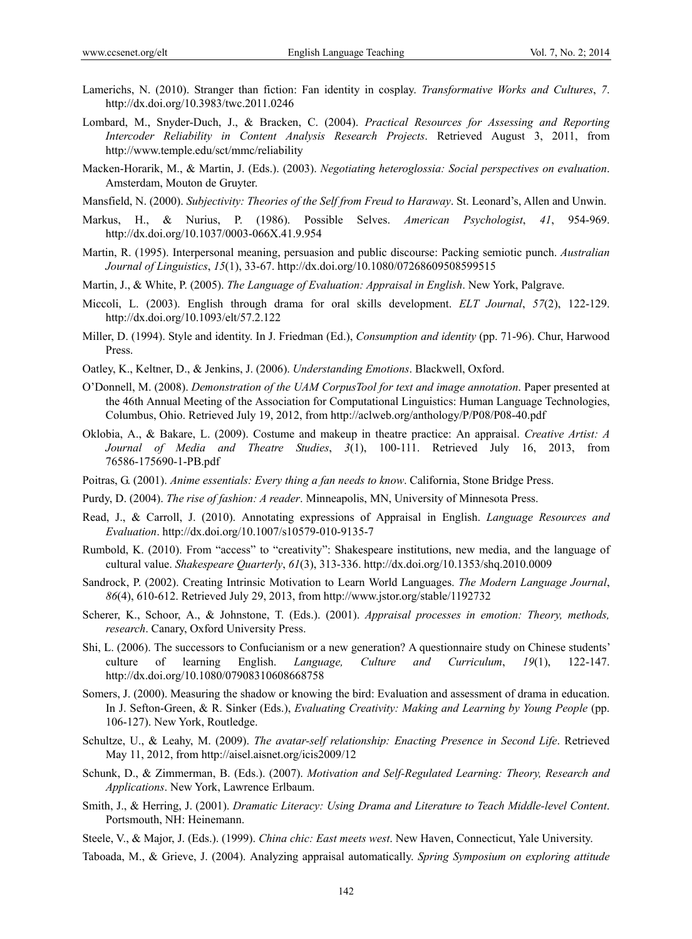- Lamerichs, N. (2010). Stranger than fiction: Fan identity in cosplay. *Transformative Works and Cultures*, *7*. http://dx.doi.org/10.3983/twc.2011.0246
- Lombard, M., Snyder-Duch, J., & Bracken, C. (2004). *Practical Resources for Assessing and Reporting Intercoder Reliability in Content Analysis Research Projects*. Retrieved August 3, 2011, from http://www.temple.edu/sct/mmc/reliability
- Macken-Horarik, M., & Martin, J. (Eds.). (2003). *Negotiating heteroglossia: Social perspectives on evaluation*. Amsterdam, Mouton de Gruyter.
- Mansfield, N. (2000). *Subjectivity: Theories of the Self from Freud to Haraway*. St. Leonard's, Allen and Unwin.
- Markus, H., & Nurius, P. (1986). Possible Selves. *American Psychologist*, *41*, 954-969. http://dx.doi.org/10.1037/0003-066X.41.9.954
- Martin, R. (1995). Interpersonal meaning, persuasion and public discourse: Packing semiotic punch. *Australian Journal of Linguistics*, *15*(1), 33-67. http://dx.doi.org/10.1080/07268609508599515
- Martin, J., & White, P. (2005). *The Language of Evaluation: Appraisal in English*. New York, Palgrave.
- Miccoli, L. (2003). English through drama for oral skills development. *ELT Journal*, *57*(2), 122-129. http://dx.doi.org/10.1093/elt/57.2.122
- Miller, D. (1994). Style and identity. In J. Friedman (Ed.), *Consumption and identity* (pp. 71-96). Chur, Harwood Press.
- Oatley, K., Keltner, D., & Jenkins, J. (2006). *Understanding Emotions*. Blackwell, Oxford.
- O'Donnell, M. (2008). *Demonstration of the UAM CorpusTool for text and image annotation*. Paper presented at the 46th Annual Meeting of the Association for Computational Linguistics: Human Language Technologies, Columbus, Ohio. Retrieved July 19, 2012, from http://aclweb.org/anthology/P/P08/P08-40.pdf
- Oklobia, A., & Bakare, L. (2009). Costume and makeup in theatre practice: An appraisal. *Creative Artist: A Journal of Media and Theatre Studies*, *3*(1), 100-111. Retrieved July 16, 2013, from 76586-175690-1-PB.pdf
- Poitras, G. (2001). *Anime essentials: Every thing a fan needs to know*. California, Stone Bridge Press.
- Purdy, D. (2004). *The rise of fashion: A reader*. Minneapolis, MN, University of Minnesota Press.
- Read, J., & Carroll, J. (2010). Annotating expressions of Appraisal in English. *Language Resources and Evaluation*. http://dx.doi.org/10.1007/s10579-010-9135-7
- Rumbold, K. (2010). From "access" to "creativity": Shakespeare institutions, new media, and the language of cultural value. *Shakespeare Quarterly*, *61*(3), 313-336. http://dx.doi.org/10.1353/shq.2010.0009
- Sandrock, P. (2002). Creating Intrinsic Motivation to Learn World Languages. *The Modern Language Journal*, *86*(4), 610-612. Retrieved July 29, 2013, from http://www.jstor.org/stable/1192732
- Scherer, K., Schoor, A., & Johnstone, T. (Eds.). (2001). *Appraisal processes in emotion: Theory, methods, research*. Canary, Oxford University Press.
- Shi, L. (2006). The successors to Confucianism or a new generation? A questionnaire study on Chinese students' culture of learning English. *Language, Culture and Curriculum*, *19*(1), 122-147. http://dx.doi.org/10.1080/07908310608668758
- Somers, J. (2000). Measuring the shadow or knowing the bird: Evaluation and assessment of drama in education. In J. Sefton-Green, & R. Sinker (Eds.), *Evaluating Creativity: Making and Learning by Young People* (pp. 106-127). New York, Routledge.
- Schultze, U., & Leahy, M. (2009). *The avatar-self relationship: Enacting Presence in Second Life*. Retrieved May 11, 2012, from http://aisel.aisnet.org/icis2009/12
- Schunk, D., & Zimmerman, B. (Eds.). (2007). *Motivation and Self-Regulated Learning: Theory, Research and Applications*. New York, Lawrence Erlbaum.
- Smith, J., & Herring, J. (2001). *Dramatic Literacy: Using Drama and Literature to Teach Middle-level Content*. Portsmouth, NH: Heinemann.
- Steele, V., & Major, J. (Eds.). (1999). *China chic: East meets west*. New Haven, Connecticut, Yale University.
- Taboada, M., & Grieve, J. (2004). Analyzing appraisal automatically. *Spring Symposium on exploring attitude*